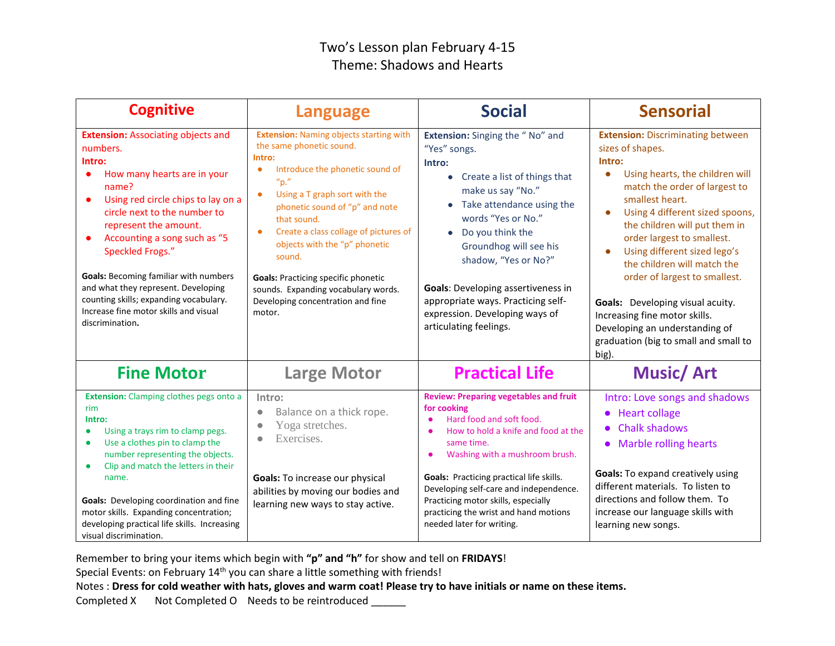## Two's Lesson plan February 4-15 Theme: Shadows and Hearts

| <b>Cognitive</b>                                                                                                                                                                                                                                                                                                                                                                                                                                                     | <b>Language</b>                                                                                                                                                                                                                                                                                                                                                                                                                                                                                   | <b>Social</b>                                                                                                                                                                                                                                                                                                                                                                                   | <b>Sensorial</b>                                                                                                                                                                                                                                                                                                                                                                                                                                                                                                                                   |
|----------------------------------------------------------------------------------------------------------------------------------------------------------------------------------------------------------------------------------------------------------------------------------------------------------------------------------------------------------------------------------------------------------------------------------------------------------------------|---------------------------------------------------------------------------------------------------------------------------------------------------------------------------------------------------------------------------------------------------------------------------------------------------------------------------------------------------------------------------------------------------------------------------------------------------------------------------------------------------|-------------------------------------------------------------------------------------------------------------------------------------------------------------------------------------------------------------------------------------------------------------------------------------------------------------------------------------------------------------------------------------------------|----------------------------------------------------------------------------------------------------------------------------------------------------------------------------------------------------------------------------------------------------------------------------------------------------------------------------------------------------------------------------------------------------------------------------------------------------------------------------------------------------------------------------------------------------|
| <b>Extension: Associating objects and</b><br>numbers.<br>Intro:<br>How many hearts are in your<br>name?<br>Using red circle chips to lay on a<br>$\bullet$<br>circle next to the number to<br>represent the amount.<br>Accounting a song such as "5<br>Speckled Frogs."<br><b>Goals: Becoming familiar with numbers</b><br>and what they represent. Developing<br>counting skills; expanding vocabulary.<br>Increase fine motor skills and visual<br>discrimination. | <b>Extension: Naming objects starting with</b><br>the same phonetic sound.<br>Intro:<br>Introduce the phonetic sound of<br>$\bullet$<br>$^{\prime\prime}$ p."<br>Using a T graph sort with the<br>$\bullet$<br>phonetic sound of "p" and note<br>that sound.<br>Create a class collage of pictures of<br>$\bullet$<br>objects with the "p" phonetic<br>sound.<br><b>Goals: Practicing specific phonetic</b><br>sounds. Expanding vocabulary words.<br>Developing concentration and fine<br>motor. | <b>Extension:</b> Singing the "No" and<br>"Yes" songs.<br>Intro:<br>Create a list of things that<br>make us say "No."<br>• Take attendance using the<br>words "Yes or No."<br>Do you think the<br>Groundhog will see his<br>shadow, "Yes or No?"<br><b>Goals:</b> Developing assertiveness in<br>appropriate ways. Practicing self-<br>expression. Developing ways of<br>articulating feelings. | <b>Extension: Discriminating between</b><br>sizes of shapes.<br>Intro:<br>Using hearts, the children will<br>$\bullet$<br>match the order of largest to<br>smallest heart.<br>Using 4 different sized spoons,<br>$\bullet$<br>the children will put them in<br>order largest to smallest.<br>Using different sized lego's<br>the children will match the<br>order of largest to smallest.<br>Goals: Developing visual acuity.<br>Increasing fine motor skills.<br>Developing an understanding of<br>graduation (big to small and small to<br>big). |
| <b>Fine Motor</b>                                                                                                                                                                                                                                                                                                                                                                                                                                                    | <b>Large Motor</b>                                                                                                                                                                                                                                                                                                                                                                                                                                                                                | <b>Practical Life</b>                                                                                                                                                                                                                                                                                                                                                                           | <b>Music/Art</b>                                                                                                                                                                                                                                                                                                                                                                                                                                                                                                                                   |
| <b>Extension:</b> Clamping clothes pegs onto a<br>rim<br>Intro:<br>Using a trays rim to clamp pegs.<br>$\bullet$<br>Use a clothes pin to clamp the<br>$\bullet$<br>number representing the objects.<br>Clip and match the letters in their<br>name.<br>Goals: Developing coordination and fine<br>motor skills. Expanding concentration;<br>developing practical life skills. Increasing<br>visual discrimination.                                                   | Intro:<br>Balance on a thick rope.<br>Yoga stretches.<br>Exercises.<br>٠<br>Goals: To increase our physical<br>abilities by moving our bodies and<br>learning new ways to stay active.                                                                                                                                                                                                                                                                                                            | <b>Review: Preparing vegetables and fruit</b><br>for cooking<br>Hard food and soft food.<br>How to hold a knife and food at the<br>same time.<br>Washing with a mushroom brush.<br><b>Goals: Practicing practical life skills.</b><br>Developing self-care and independence.<br>Practicing motor skills, especially<br>practicing the wrist and hand motions<br>needed later for writing.       | Intro: Love songs and shadows<br>• Heart collage<br>• Chalk shadows<br>• Marble rolling hearts<br><b>Goals:</b> To expand creatively using<br>different materials. To listen to<br>directions and follow them. To<br>increase our language skills with<br>learning new songs.                                                                                                                                                                                                                                                                      |

Remember to bring your items which begin with **"p" and "h"** for show and tell on **FRIDAYS**!

Special Events: on February 14<sup>th</sup> you can share a little something with friends!

Notes : **Dress for cold weather with hats, gloves and warm coat! Please try to have initials or name on these items.**

Completed X Not Completed O Needs to be reintroduced \_\_\_\_\_\_